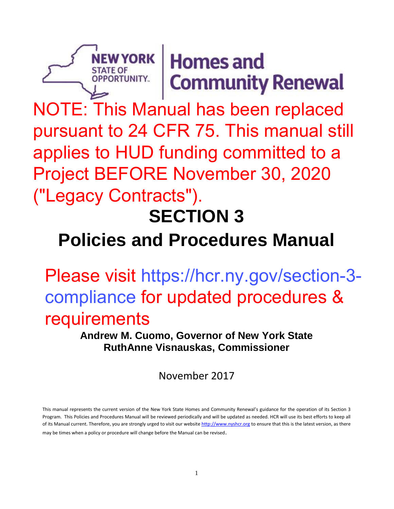# $N$ EWYORK Homes and **Community Renewal**

NOTE: This Manual has been replaced pursuant to 24 CFR 75. This manual still applies to HUD funding committed to a Project BEFORE November 30, 2020 ("Legacy Contracts").

STATE OF<br>OPPORTUNITY.

# **SECTION 3**

# **Policies and Procedures Manual**

Please visit https://hcr.ny.gov/section-3 compliance for updated procedures & requirements

> **Andrew M. Cuomo, Governor of New York State RuthAnne Visnauskas, Commissioner**

> > November 2017

This manual represents the current version of the New York State Homes and Community Renewal's guidance for the operation of its Section 3 Program. This Policies and Procedures Manual will be reviewed periodically and will be updated as needed. HCR will use its best efforts to keep all of its Manual current. Therefore, you are strongly urged to visit our websit[e http://www.nyshcr.org](http://www.nyshcr.org/) to ensure that this is the latest version, as there may be times when a policy or procedure will change before the Manual can be revised.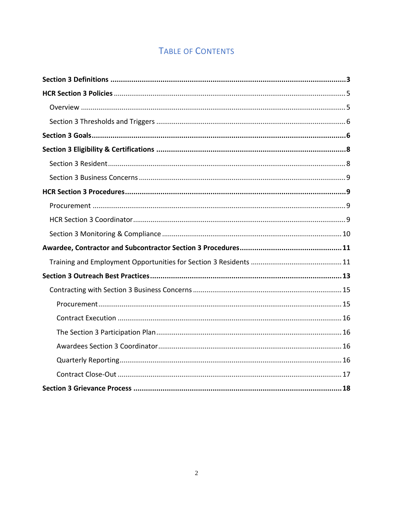# **TABLE OF CONTENTS**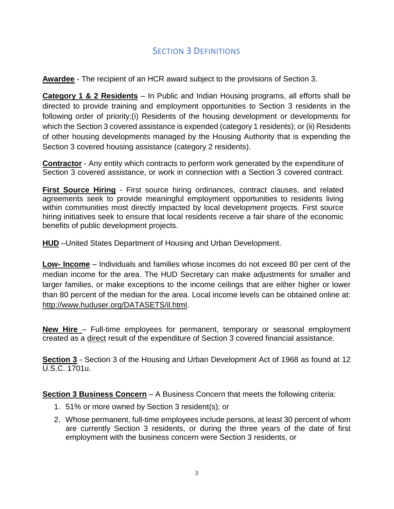# SECTION 3 DEFINITIONS

<span id="page-2-0"></span>**Awardee** - The recipient of an HCR award subject to the provisions of Section 3.

**Category 1 & 2 Residents** – In Public and Indian Housing programs, all efforts shall be directed to provide training and employment opportunities to Section 3 residents in the following order of priority:(i) Residents of the housing development or developments for which the Section 3 covered assistance is expended (category 1 residents); or (ii) Residents of other housing developments managed by the Housing Authority that is expending the Section 3 covered housing assistance (category 2 residents).

**Contractor** - Any entity which contracts to perform work generated by the expenditure of Section 3 covered assistance, or work in connection with a Section 3 covered contract.

**First Source Hiring** - First source hiring ordinances, contract clauses, and related agreements seek to provide meaningful employment opportunities to residents living within communities most directly impacted by local development projects. First source hiring initiatives seek to ensure that local residents receive a fair share of the economic benefits of public development projects.

**HUD** –United States Department of Housing and Urban Development.

**Low- Income** – Individuals and families whose incomes do not exceed 80 per cent of the median income for the area. The HUD Secretary can make adjustments for smaller and larger families, or make exceptions to the income ceilings that are either higher or lower than 80 percent of the median for the area. Local income levels can be obtained online at: [http://www.huduser.org/DATASETS/il.html.](http://www.huduser.org/DATASETS/il.html)

**New Hire** – Full-time employees for permanent, temporary or seasonal employment created as a direct result of the expenditure of Section 3 covered financial assistance.

**Section 3** - Section 3 of the Housing and Urban Development Act of 1968 as found at 12 U.S.C. 1701u.

**Section 3 Business Concern** – A Business Concern that meets the following criteria:

- 1. 51% or more owned by Section 3 resident(s); or
- 2. Whose permanent, full-time employees include persons, at least 30 percent of whom are currently Section 3 residents, or during the three years of the date of first employment with the business concern were Section 3 residents, or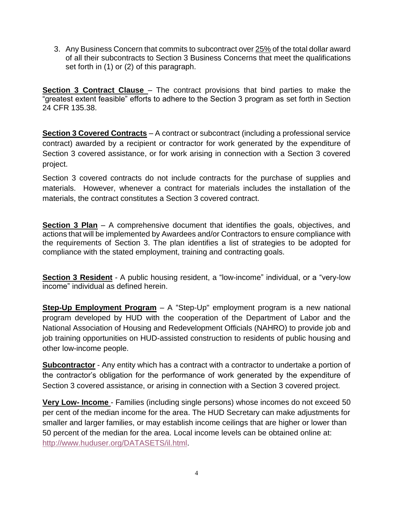3. Any Business Concern that commits to subcontract over 25% of the total dollar award of all their subcontracts to Section 3 Business Concerns that meet the qualifications set forth in (1) or (2) of this paragraph.

**Section 3 Contract Clause** – The contract provisions that bind parties to make the "greatest extent feasible" efforts to adhere to the Section 3 program as set forth in Section 24 CFR 135.38.

**Section 3 Covered Contracts** – A contract or subcontract (including a professional service contract) awarded by a recipient or contractor for work generated by the expenditure of Section 3 covered assistance, or for work arising in connection with a Section 3 covered project.

Section 3 covered contracts do not include contracts for the purchase of supplies and materials. However, whenever a contract for materials includes the installation of the materials, the contract constitutes a Section 3 covered contract.

**Section 3 Plan** – A comprehensive document that identifies the goals, objectives, and actions that will be implemented by Awardees and/or Contractors to ensure compliance with the requirements of Section 3. The plan identifies a list of strategies to be adopted for compliance with the stated employment, training and contracting goals.

**Section 3 Resident** - A public housing resident, a "low-income" individual, or a "very-low income" individual as defined herein.

**Step-Up Employment Program** – A "Step-Up" employment program is a new national program developed by HUD with the cooperation of the Department of Labor and the National Association of Housing and Redevelopment Officials (NAHRO) to provide job and job training opportunities on HUD-assisted construction to residents of public housing and other low-income people.

**Subcontractor** - Any entity which has a contract with a contractor to undertake a portion of the contractor's obligation for the performance of work generated by the expenditure of Section 3 covered assistance, or arising in connection with a Section 3 covered project.

**Very Low- Income** - Families (including single persons) whose incomes do not exceed 50 per cent of the median income for the area. The HUD Secretary can make adjustments for smaller and larger families, or may establish income ceilings that are higher or lower than 50 percent of the median for the area. Local income levels can be obtained online at: [http://www.huduser.org/DATASETS/il.html.](http://www.huduser.org/DATASETS/il.html)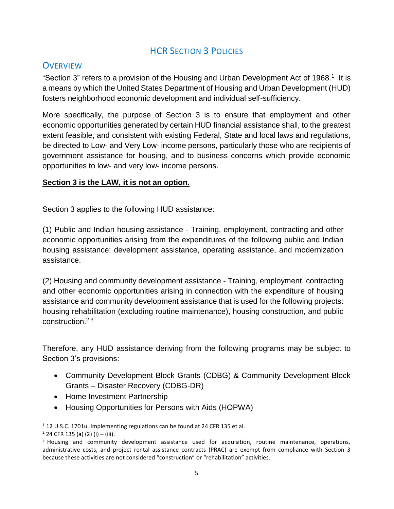# **HCR SECTION 3 POLICIES**

# <span id="page-4-1"></span><span id="page-4-0"></span>**OVERVIEW**

"Section 3" refers to a provision of the Housing and Urban Development Act of 1968.<sup>1</sup> It is a means by which the United States Department of Housing and Urban Development (HUD) fosters neighborhood economic development and individual self-sufficiency.

More specifically, the purpose of Section 3 is to ensure that employment and other economic opportunities generated by certain HUD financial assistance shall, to the greatest extent feasible, and consistent with existing Federal, State and local laws and regulations, be directed to Low- and Very Low- income persons, particularly those who are recipients of government assistance for housing, and to business concerns which provide economic opportunities to low- and very low- income persons.

#### **Section 3 is the LAW, it is not an option.**

Section 3 applies to the following HUD assistance:

(1) Public and Indian housing assistance - Training, employment, contracting and other economic opportunities arising from the expenditures of the following public and Indian housing assistance: development assistance, operating assistance, and modernization assistance.

(2) Housing and community development assistance - Training, employment, contracting and other economic opportunities arising in connection with the expenditure of housing assistance and community development assistance that is used for the following projects: housing rehabilitation (excluding routine maintenance), housing construction, and public construction.<sup>2</sup> <sup>3</sup>

Therefore, any HUD assistance deriving from the following programs may be subject to Section 3's provisions:

- Community Development Block Grants (CDBG) & Community Development Block Grants – Disaster Recovery (CDBG-DR)
- Home Investment Partnership
- Housing Opportunities for Persons with Aids (HOPWA)

 $\overline{a}$ <sup>1</sup> 12 U.S.C. 1701u. Implementing regulations can be found at 24 CFR 135 et al.

 $2$  24 CFR 135 (a) (2) (i) – (iii).

<sup>&</sup>lt;sup>3</sup> Housing and community development assistance used for acquisition, routine maintenance, operations, administrative costs, and project rental assistance contracts (PRAC) are exempt from compliance with Section 3 because these activities are not considered "construction" or "rehabilitation" activities.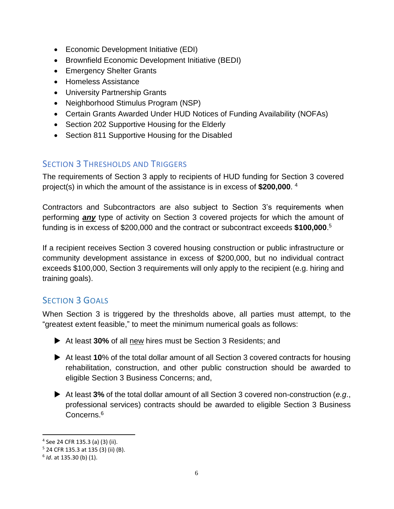- Economic Development Initiative (EDI)
- Brownfield Economic Development Initiative (BEDI)
- Emergency Shelter Grants
- Homeless Assistance
- University Partnership Grants
- Neighborhood Stimulus Program (NSP)
- Certain Grants Awarded Under HUD Notices of Funding Availability (NOFAs)
- Section 202 Supportive Housing for the Elderly
- Section 811 Supportive Housing for the Disabled

# <span id="page-5-0"></span>SECTION 3 THRESHOLDS AND TRIGGERS

The requirements of Section 3 apply to recipients of HUD funding for Section 3 covered project(s) in which the amount of the assistance is in excess of **\$200,000**. 4

Contractors and Subcontractors are also subject to Section 3's requirements when performing *any* type of activity on Section 3 covered projects for which the amount of funding is in excess of \$200,000 and the contract or subcontract exceeds **\$100,000**. 5

If a recipient receives Section 3 covered housing construction or public infrastructure or community development assistance in excess of \$200,000, but no individual contract exceeds \$100,000, Section 3 requirements will only apply to the recipient (e.g. hiring and training goals).

# <span id="page-5-1"></span>SECTION 3 GOALS

When Section 3 is triggered by the thresholds above, all parties must attempt, to the "greatest extent feasible," to meet the minimum numerical goals as follows:

- At least **30%** of all new hires must be Section 3 Residents; and
- At least **10**% of the total dollar amount of all Section 3 covered contracts for housing rehabilitation, construction, and other public construction should be awarded to eligible Section 3 Business Concerns; and,
- At least **3%** of the total dollar amount of all Section 3 covered non-construction (*e.g*., professional services) contracts should be awarded to eligible Section 3 Business Concerns.<sup>6</sup>

 $\overline{a}$ 

<sup>4</sup> See 24 CFR 135.3 (a) (3) (ii).

<sup>5</sup> 24 CFR 135.3 at 135 (3) (ii) (B).

<sup>6</sup> *Id*. at 135.30 (b) (1).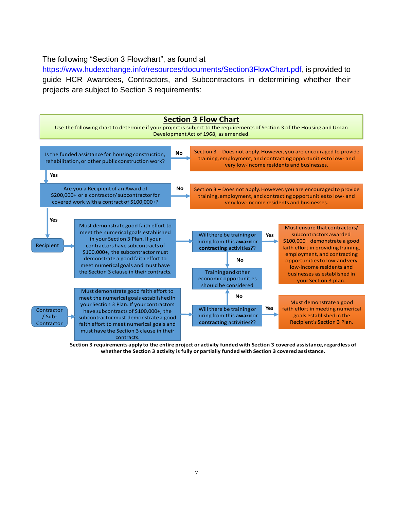#### The following "Section 3 Flowchart", as found at

[https://www.hudexchange.info/resources/documents/Section3FlowChart.pdf,](https://www.hudexchange.info/resources/documents/Section3FlowChart.pdf) is provided to guide HCR Awardees, Contractors, and Subcontractors in determining whether their projects are subject to Section 3 requirements:



**Section 3 requirements apply to the entire project or activity funded with Section 3 covered assistance,regardless of whether the Section 3 activity is fully or partially funded with Section 3 covered assistance.**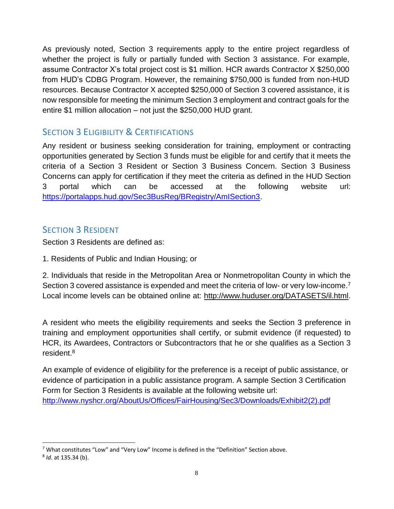As previously noted, Section 3 requirements apply to the entire project regardless of whether the project is fully or partially funded with Section 3 assistance. For example, assume Contractor X's total project cost is \$1 million. HCR awards Contractor X \$250,000 from HUD's CDBG Program. However, the remaining \$750,000 is funded from non-HUD resources. Because Contractor X accepted \$250,000 of Section 3 covered assistance, it is now responsible for meeting the minimum Section 3 employment and contract goals for the entire \$1 million allocation – not just the \$250,000 HUD grant.

# <span id="page-7-0"></span>**SECTION 3 ELIGIBILITY & CERTIFICATIONS**

Any resident or business seeking consideration for training, employment or contracting opportunities generated by Section 3 funds must be eligible for and certify that it meets the criteria of a Section 3 Resident or Section 3 Business Concern. Section 3 Business Concerns can apply for certification if they meet the criteria as defined in the HUD Section 3 portal which can be accessed at the following website url: [https://portalapps.hud.gov/Sec3BusReg/BRegistry/AmISection3.](https://portalapps.hud.gov/Sec3BusReg/BRegistry/AmISection3)

#### <span id="page-7-1"></span>SECTION 3 RESIDENT

Section 3 Residents are defined as:

1. Residents of Public and Indian Housing; or

2. Individuals that reside in the Metropolitan Area or Nonmetropolitan County in which the Section 3 covered assistance is expended and meet the criteria of low- or very low-income.<sup>7</sup> Local income levels can be obtained online at: [http://www.huduser.org/DATASETS/il.html.](http://www.huduser.org/DATASETS/il.html)

A resident who meets the eligibility requirements and seeks the Section 3 preference in training and employment opportunities shall certify, or submit evidence (if requested) to HCR, its Awardees, Contractors or Subcontractors that he or she qualifies as a Section 3 resident. 8

An example of evidence of eligibility for the preference is a receipt of public assistance, or evidence of participation in a public assistance program. A sample Section 3 Certification Form for Section 3 Residents is available at the following website url: [http://www.nyshcr.org/AboutUs/Offices/FairHousing/Sec3/Downloads/Exhibit2\(2\).pdf](http://www.nyshcr.org/AboutUs/Offices/FairHousing/Sec3/Downloads/Exhibit2(2).pdf)

 $\overline{a}$  $7$  What constitutes "Low" and "Very Low" Income is defined in the "Definition" Section above.

<sup>8</sup> *Id*. at 135.34 (b).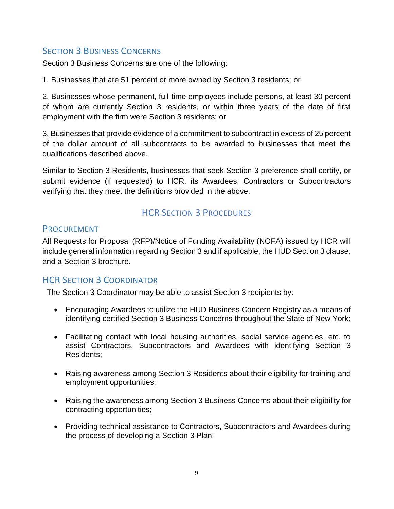# <span id="page-8-0"></span>**SECTION 3 BUSINESS CONCERNS**

Section 3 Business Concerns are one of the following:

1. Businesses that are 51 percent or more owned by Section 3 residents; or

2. Businesses whose permanent, full-time employees include persons, at least 30 percent of whom are currently Section 3 residents, or within three years of the date of first employment with the firm were Section 3 residents; or

3. Businesses that provide evidence of a commitment to subcontract in excess of 25 percent of the dollar amount of all subcontracts to be awarded to businesses that meet the qualifications described above.

Similar to Section 3 Residents, businesses that seek Section 3 preference shall certify, or submit evidence (if requested) to HCR, its Awardees, Contractors or Subcontractors verifying that they meet the definitions provided in the above.

# HCR SECTION 3 PROCEDURES

#### <span id="page-8-2"></span><span id="page-8-1"></span>PROCUREMENT

All Requests for Proposal (RFP)/Notice of Funding Availability (NOFA) issued by HCR will include general information regarding Section 3 and if applicable, the HUD Section 3 clause, and a Section 3 brochure.

# <span id="page-8-3"></span>HCR SECTION 3 COORDINATOR

The Section 3 Coordinator may be able to assist Section 3 recipients by:

- Encouraging Awardees to utilize the HUD Business Concern Registry as a means of identifying certified Section 3 Business Concerns throughout the State of New York;
- Facilitating contact with local housing authorities, social service agencies, etc. to assist Contractors, Subcontractors and Awardees with identifying Section 3 Residents;
- Raising awareness among Section 3 Residents about their eligibility for training and employment opportunities;
- Raising the awareness among Section 3 Business Concerns about their eligibility for contracting opportunities;
- Providing technical assistance to Contractors, Subcontractors and Awardees during the process of developing a Section 3 Plan;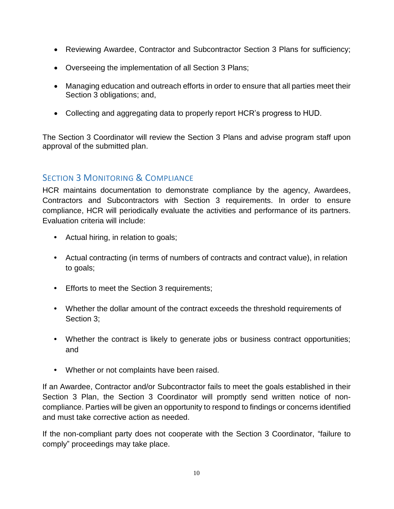- Reviewing Awardee, Contractor and Subcontractor Section 3 Plans for sufficiency;
- Overseeing the implementation of all Section 3 Plans;
- Managing education and outreach efforts in order to ensure that all parties meet their Section 3 obligations; and,
- Collecting and aggregating data to properly report HCR's progress to HUD.

The Section 3 Coordinator will review the Section 3 Plans and advise program staff upon approval of the submitted plan.

# <span id="page-9-0"></span>SECTION 3 MONITORING & COMPLIANCE

HCR maintains documentation to demonstrate compliance by the agency, Awardees, Contractors and Subcontractors with Section 3 requirements. In order to ensure compliance, HCR will periodically evaluate the activities and performance of its partners. Evaluation criteria will include:

- **•** Actual hiring, in relation to goals;
- **•** Actual contracting (in terms of numbers of contracts and contract value), in relation to goals;
- **•** Efforts to meet the Section 3 requirements;
- **•** Whether the dollar amount of the contract exceeds the threshold requirements of Section 3;
- **•** Whether the contract is likely to generate jobs or business contract opportunities; and
- **•** Whether or not complaints have been raised.

If an Awardee, Contractor and/or Subcontractor fails to meet the goals established in their Section 3 Plan, the Section 3 Coordinator will promptly send written notice of noncompliance. Parties will be given an opportunity to respond to findings or concerns identified and must take corrective action as needed.

If the non-compliant party does not cooperate with the Section 3 Coordinator, "failure to comply" proceedings may take place.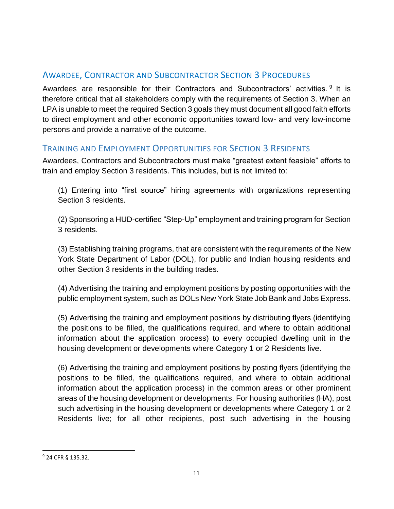# <span id="page-10-0"></span>AWARDEE, CONTRACTOR AND SUBCONTRACTOR SECTION 3 PROCEDURES

Awardees are responsible for their Contractors and Subcontractors' activities. <sup>9</sup> It is therefore critical that all stakeholders comply with the requirements of Section 3. When an LPA is unable to meet the required Section 3 goals they must document all good faith efforts to direct employment and other economic opportunities toward low- and very low-income persons and provide a narrative of the outcome.

#### <span id="page-10-1"></span>TRAINING AND EMPLOYMENT OPPORTUNITIES FOR SECTION 3 RESIDENTS

Awardees, Contractors and Subcontractors must make "greatest extent feasible" efforts to train and employ Section 3 residents. This includes, but is not limited to:

(1) Entering into "first source" hiring agreements with organizations representing Section 3 residents.

(2) Sponsoring a HUD-certified "Step-Up" employment and training program for Section 3 residents.

(3) Establishing training programs, that are consistent with the requirements of the New York State Department of Labor (DOL), for public and Indian housing residents and other Section 3 residents in the building trades.

(4) Advertising the training and employment positions by posting opportunities with the public employment system, such as DOLs New York State Job Bank and Jobs Express.

(5) Advertising the training and employment positions by distributing flyers (identifying the positions to be filled, the qualifications required, and where to obtain additional information about the application process) to every occupied dwelling unit in the housing development or developments where Category 1 or 2 Residents live.

(6) Advertising the training and employment positions by posting flyers (identifying the positions to be filled, the qualifications required, and where to obtain additional information about the application process) in the common areas or other prominent areas of the housing development or developments. For housing authorities (HA), post such advertising in the housing development or developments where Category 1 or 2 Residents live; for all other recipients, post such advertising in the housing

 $\overline{a}$ 

<sup>9</sup> 24 CFR § 135.32.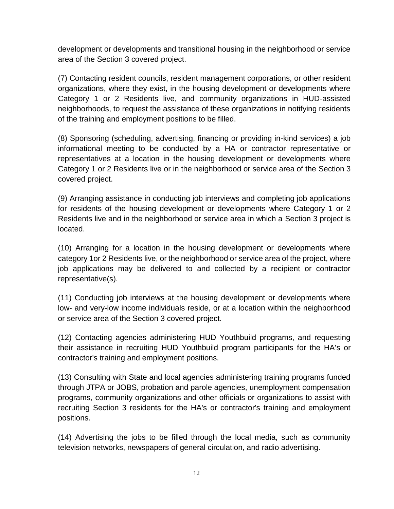development or developments and transitional housing in the neighborhood or service area of the Section 3 covered project.

(7) Contacting resident councils, resident management corporations, or other resident organizations, where they exist, in the housing development or developments where Category 1 or 2 Residents live, and community organizations in HUD-assisted neighborhoods, to request the assistance of these organizations in notifying residents of the training and employment positions to be filled.

(8) Sponsoring (scheduling, advertising, financing or providing in-kind services) a job informational meeting to be conducted by a HA or contractor representative or representatives at a location in the housing development or developments where Category 1 or 2 Residents live or in the neighborhood or service area of the Section 3 covered project.

(9) Arranging assistance in conducting job interviews and completing job applications for residents of the housing development or developments where Category 1 or 2 Residents live and in the neighborhood or service area in which a Section 3 project is located.

(10) Arranging for a location in the housing development or developments where category 1or 2 Residents live, or the neighborhood or service area of the project, where job applications may be delivered to and collected by a recipient or contractor representative(s).

(11) Conducting job interviews at the housing development or developments where low- and very-low income individuals reside, or at a location within the neighborhood or service area of the Section 3 covered project.

(12) Contacting agencies administering HUD Youthbuild programs, and requesting their assistance in recruiting HUD Youthbuild program participants for the HA's or contractor's training and employment positions.

(13) Consulting with State and local agencies administering training programs funded through JTPA or JOBS, probation and parole agencies, unemployment compensation programs, community organizations and other officials or organizations to assist with recruiting Section 3 residents for the HA's or contractor's training and employment positions.

(14) Advertising the jobs to be filled through the local media, such as community television networks, newspapers of general circulation, and radio advertising.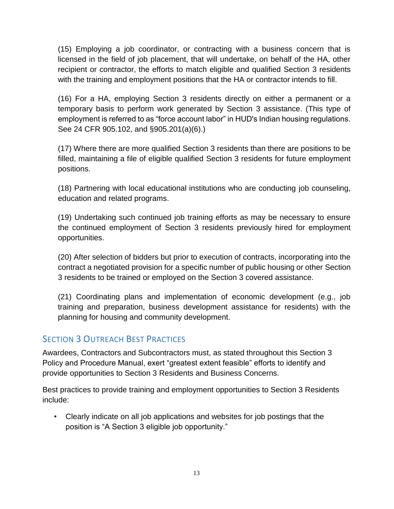(15) Employing a job coordinator, or contracting with a business concern that is licensed in the field of job placement, that will undertake, on behalf of the HA, other recipient or contractor, the efforts to match eligible and qualified Section 3 residents with the training and employment positions that the HA or contractor intends to fill.

(16) For a HA, employing Section 3 residents directly on either a permanent or a temporary basis to perform work generated by Section 3 assistance. (This type of employment is referred to as "force account labor" in HUD's Indian housing regulations. See 24 CFR 905.102, and §905.201(a)(6).)

(17) Where there are more qualified Section 3 residents than there are positions to be filled, maintaining a file of eligible qualified Section 3 residents for future employment positions.

(18) Partnering with local educational institutions who are conducting job counseling, education and related programs.

(19) Undertaking such continued job training efforts as may be necessary to ensure the continued employment of Section 3 residents previously hired for employment opportunities.

(20) After selection of bidders but prior to execution of contracts, incorporating into the contract a negotiated provision for a specific number of public housing or other Section 3 residents to be trained or employed on the Section 3 covered assistance.

(21) Coordinating plans and implementation of economic development (e.g., job training and preparation, business development assistance for residents) with the planning for housing and community development.

#### <span id="page-12-0"></span>**SECTION 3 OUTREACH BEST PRACTICES**

Awardees, Contractors and Subcontractors must, as stated throughout this Section 3 Policy and Procedure Manual, exert "greatest extent feasible" efforts to identify and provide opportunities to Section 3 Residents and Business Concerns.

Best practices to provide training and employment opportunities to Section 3 Residents include:

• Clearly indicate on all job applications and websites for job postings that the position is "A Section 3 eligible job opportunity."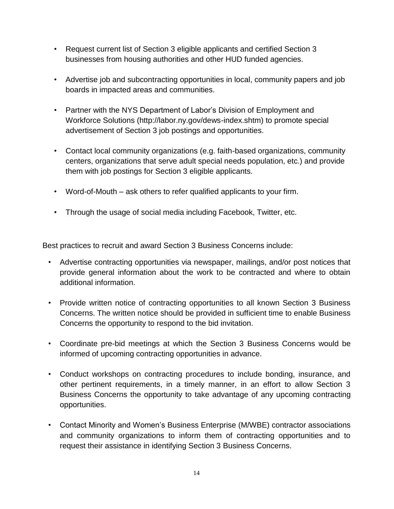- Request current list of Section 3 eligible applicants and certified Section 3 businesses from housing authorities and other HUD funded agencies.
- Advertise job and subcontracting opportunities in local, community papers and job boards in impacted areas and communities.
- Partner with the NYS Department of Labor's Division of Employment and Workforce Solutions ([http://labor.ny.gov/dews-index.shtm\) to](http://labor.ny.gov/dews-index.shtm) promote special advertisement of Section 3 job postings and opportunities.
- Contact local community organizations (e.g. faith-based organizations, community centers, organizations that serve adult special needs population, etc.) and provide them with job postings for Section 3 eligible applicants.
- Word-of-Mouth ask others to refer qualified applicants to your firm.
- Through the usage of social media including Facebook, Twitter, etc.

Best practices to recruit and award Section 3 Business Concerns include:

- Advertise contracting opportunities via newspaper, mailings, and/or post notices that provide general information about the work to be contracted and where to obtain additional information.
- Provide written notice of contracting opportunities to all known Section 3 Business Concerns. The written notice should be provided in sufficient time to enable Business Concerns the opportunity to respond to the bid invitation.
- Coordinate pre-bid meetings at which the Section 3 Business Concerns would be informed of upcoming contracting opportunities in advance.
- Conduct workshops on contracting procedures to include bonding, insurance, and other pertinent requirements, in a timely manner, in an effort to allow Section 3 Business Concerns the opportunity to take advantage of any upcoming contracting opportunities.
- Contact Minority and Women's Business Enterprise (M/WBE) contractor associations and community organizations to inform them of contracting opportunities and to request their assistance in identifying Section 3 Business Concerns.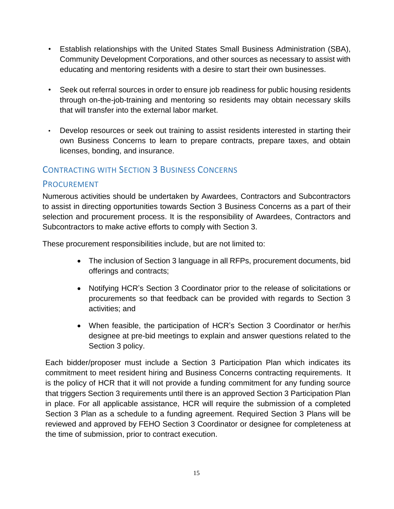- Establish relationships with the United States Small Business Administration (SBA), Community Development Corporations, and other sources as necessary to assist with educating and mentoring residents with a desire to start their own businesses.
- Seek out referral sources in order to ensure job readiness for public housing residents through on-the-job-training and mentoring so residents may obtain necessary skills that will transfer into the external labor market.
- Develop resources or seek out training to assist residents interested in starting their own Business Concerns to learn to prepare contracts, prepare taxes, and obtain licenses, bonding, and insurance.

#### <span id="page-14-0"></span>CONTRACTING WITH SECTION 3 BUSINESS CONCERNS

#### <span id="page-14-1"></span>PROCUREMENT

Numerous activities should be undertaken by Awardees, Contractors and Subcontractors to assist in directing opportunities towards Section 3 Business Concerns as a part of their selection and procurement process. It is the responsibility of Awardees, Contractors and Subcontractors to make active efforts to comply with Section 3.

These procurement responsibilities include, but are not limited to:

- The inclusion of Section 3 language in all RFPs, procurement documents, bid offerings and contracts;
- Notifying HCR's Section 3 Coordinator prior to the release of solicitations or procurements so that feedback can be provided with regards to Section 3 activities; and
- When feasible, the participation of HCR's Section 3 Coordinator or her/his designee at pre-bid meetings to explain and answer questions related to the Section 3 policy.

Each bidder/proposer must include a Section 3 Participation Plan which indicates its commitment to meet resident hiring and Business Concerns contracting requirements. It is the policy of HCR that it will not provide a funding commitment for any funding source that triggers Section 3 requirements until there is an approved Section 3 Participation Plan in place. For all applicable assistance, HCR will require the submission of a completed Section 3 Plan as a schedule to a funding agreement. Required Section 3 Plans will be reviewed and approved by FEHO Section 3 Coordinator or designee for completeness at the time of submission, prior to contract execution.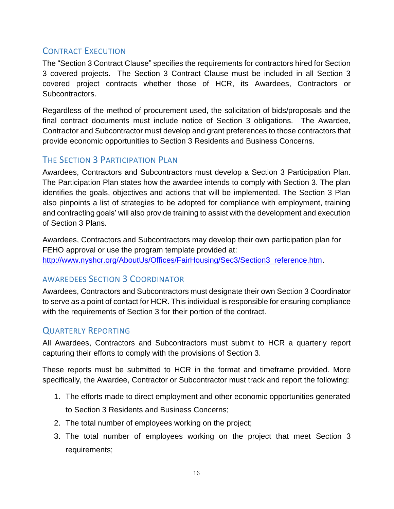# <span id="page-15-0"></span>CONTRACT EXECUTION

The "Section 3 Contract Clause" specifies the requirements for contractors hired for Section 3 covered projects. The Section 3 Contract Clause must be included in all Section 3 covered project contracts whether those of HCR, its Awardees, Contractors or Subcontractors.

Regardless of the method of procurement used, the solicitation of bids/proposals and the final contract documents must include notice of Section 3 obligations. The Awardee, Contractor and Subcontractor must develop and grant preferences to those contractors that provide economic opportunities to Section 3 Residents and Business Concerns.

# <span id="page-15-1"></span>THE SECTION 3 PARTICIPATION PLAN

Awardees, Contractors and Subcontractors must develop a Section 3 Participation Plan. The Participation Plan states how the awardee intends to comply with Section 3. The plan identifies the goals, objectives and actions that will be implemented. The Section 3 Plan also pinpoints a list of strategies to be adopted for compliance with employment, training and contracting goals' will also provide training to assist with the development and execution of Section 3 Plans.

Awardees, Contractors and Subcontractors may develop their own participation plan for FEHO approval or use the program template provided at: [http://www.nyshcr.org/AboutUs/Offices/FairHousing/Sec3/Section3\\_reference.htm.](http://www.nyshcr.org/AboutUs/Offices/FairHousing/Sec3/Section3_reference.htm)

# <span id="page-15-2"></span>AWAREDEES SECTION 3 COORDINATOR

Awardees, Contractors and Subcontractors must designate their own Section 3 Coordinator to serve as a point of contact for HCR. This individual is responsible for ensuring compliance with the requirements of Section 3 for their portion of the contract.

# <span id="page-15-3"></span>QUARTERLY REPORTING

All Awardees, Contractors and Subcontractors must submit to HCR a quarterly report capturing their efforts to comply with the provisions of Section 3.

These reports must be submitted to HCR in the format and timeframe provided. More specifically, the Awardee, Contractor or Subcontractor must track and report the following:

- 1. The efforts made to direct employment and other economic opportunities generated to Section 3 Residents and Business Concerns;
- 2. The total number of employees working on the project;
- 3. The total number of employees working on the project that meet Section 3 requirements;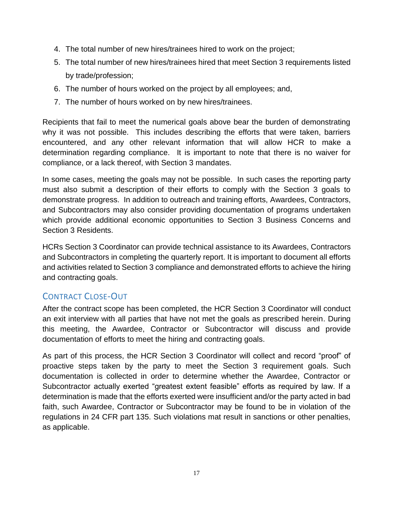- 4. The total number of new hires/trainees hired to work on the project;
- 5. The total number of new hires/trainees hired that meet Section 3 requirements listed by trade/profession;
- 6. The number of hours worked on the project by all employees; and,
- 7. The number of hours worked on by new hires/trainees.

Recipients that fail to meet the numerical goals above bear the burden of demonstrating why it was not possible. This includes describing the efforts that were taken, barriers encountered, and any other relevant information that will allow HCR to make a determination regarding compliance. It is important to note that there is no waiver for compliance, or a lack thereof, with Section 3 mandates.

In some cases, meeting the goals may not be possible. In such cases the reporting party must also submit a description of their efforts to comply with the Section 3 goals to demonstrate progress. In addition to outreach and training efforts, Awardees, Contractors, and Subcontractors may also consider providing documentation of programs undertaken which provide additional economic opportunities to Section 3 Business Concerns and Section 3 Residents.

HCRs Section 3 Coordinator can provide technical assistance to its Awardees, Contractors and Subcontractors in completing the quarterly report. It is important to document all efforts and activities related to Section 3 compliance and demonstrated efforts to achieve the hiring and contracting goals.

# <span id="page-16-0"></span>CONTRACT CLOSE-OUT

After the contract scope has been completed, the HCR Section 3 Coordinator will conduct an exit interview with all parties that have not met the goals as prescribed herein. During this meeting, the Awardee, Contractor or Subcontractor will discuss and provide documentation of efforts to meet the hiring and contracting goals.

As part of this process, the HCR Section 3 Coordinator will collect and record "proof" of proactive steps taken by the party to meet the Section 3 requirement goals. Such documentation is collected in order to determine whether the Awardee, Contractor or Subcontractor actually exerted "greatest extent feasible" efforts as required by law. If a determination is made that the efforts exerted were insufficient and/or the party acted in bad faith, such Awardee, Contractor or Subcontractor may be found to be in violation of the regulations in 24 CFR part 135. Such violations mat result in sanctions or other penalties, as applicable.